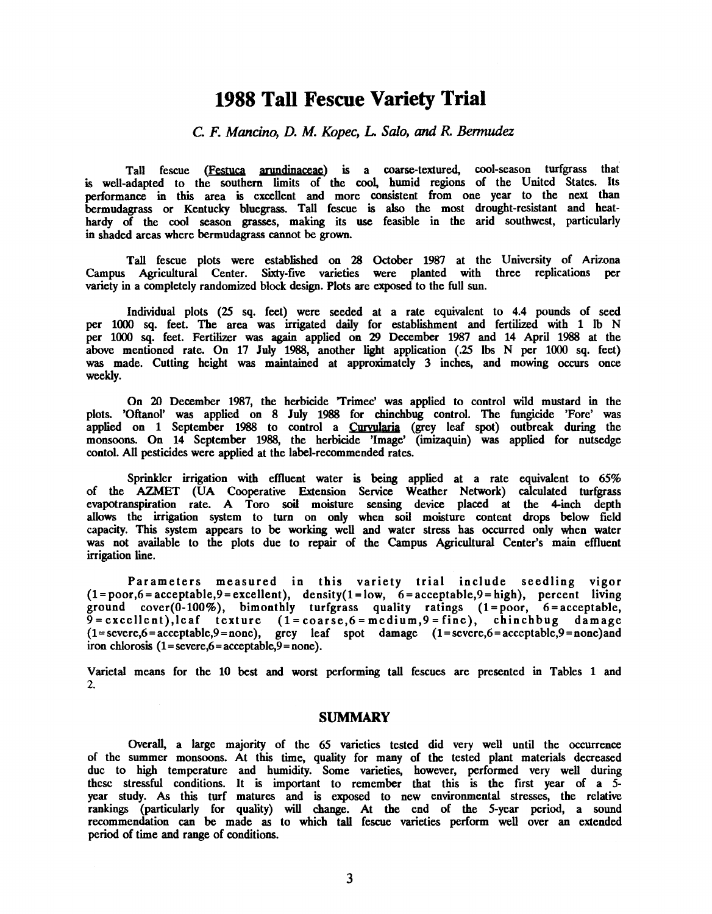# 1988 Tall Fescue Variety Trial

## C. F. Mancino, D. M. Kopec, L. Salo, and R. Bermudez

Tall fescue (**Festuca arundinaceae**) is a coarse-textured, cool-season turfgrass that is well- adapted to the southern limits of the cool, humid regions of the United States. Its performance in this area is excellent and more consistent from one year to the next than bermudagrass or Kentucky bluegrass. Tall fescue is also the most drought-resistant and heathardy of the cool season grasses, making its use feasible in the arid southwest, particularly in shaded areas where bermudagrass cannot be grown.

Tall fescue plots were established on 28 October 1987 at the University of Arizona Campus Agricultural Center. Sixty-five varieties were planted with three replications per variety in a completely randomized block design. Plots are exposed to the full sun.

Individual plots (25 sq. feet) were seeded at a rate equivalent to 4.4 pounds of seed per 1000 sq. feet. The area was irrigated daily for establishment and fertilized with 1 lb N per 1000 sq. feet. Fertilizer was again applied on 29 December 1987 and 14 April 1988 at the above mentioned rate. On 17 July 1988, another light application (.25 lbs N per 1000 sq. feet) was made. Cutting height was maintained at approximately 3 inches, and mowing occurs once weekly.

On 20 December 1987, the herbicide 'Trimec' was applied to control wild mustard in the plots. 'Oftanol' was applied on 8 July 1988 for chinchbug control. The fungicide 'Fore' was applied on 1 September 1988 to control a Curvularia (grey leaf spot) outbreak during the monsoons. On 14 September 1988, the herbicide 'Image' (imizaquin) was applied fornutsedge contol. All pesticides were applied at the label- recommended rates.

Sprinkler irrigation with effluent water is being applied at a rate equivalent to 65% of the AZMET (UA Cooperative Extension Service Weather Network) calculated turfgrass evapotranspiration rate. A Toro soil moisture sensing device placed at the 4 -inch depth allows the irrigation system to turn on only when soil moisture content drops below field capacity. This system appears to be working well and water stress has occurred only when water was not available to the plots due to repair of the Campus Agricultural Center's main effluent irrigation line.

Parameters measured in this variety trial include seedling vigor  $(1= poor, 6 = acceptable, 9 = exceptable)$ , density $(1=low, 6 = acceptable, 9 = high)$ , percent living ground cover(0-100%), bimonthly turfgrass quality ratings (1=poor, 6=acceptable, 9=excellent),leaf texture (1=coarse,6=medium,9=fine), chinchbug damage  $(1 = \text{severe}, 6 = \text{acceptable}, 9 = \text{none})$ , grey leaf spot damage  $(1 = \text{severe}, 6 = \text{acceptable}, 9 = \text{none})$  and iron chlorosis  $(1 = \text{severe}, 6 = \text{acceptable}, 9 = \text{none}).$ 

Varietal means for the 10 best and worst performing tall fescues are presented in Tables 1 and 2.

#### SUMMARY

Overall, a large majority of the 65 varieties tested did very well until the occurrence of the summer monsoons. At this time, quality for many of the tested plant materials decreased due to high temperature and humidity. Some varieties, however, performed very well during these stressful conditions. It is important to remember that this is the first year of a 5 year study. As this turf matures and is exposed to new environmental stresses, the relative rankings (particularly for quality) will change. At the end of the 5 -year period, a sound recommendation can be made as to which tall fescue varieties perform well over an extended period of time and range of conditions.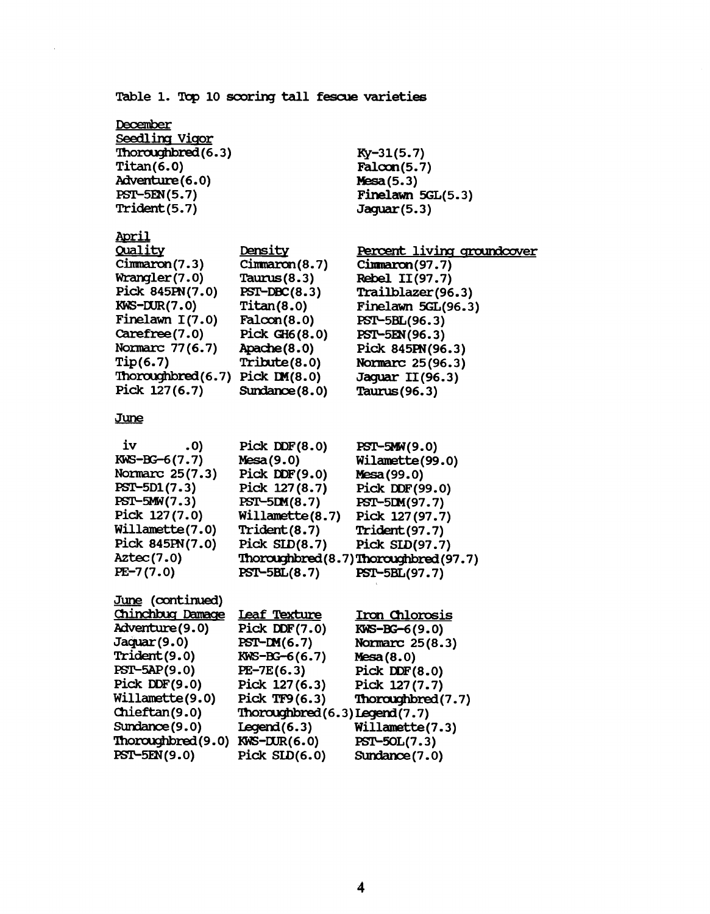Table 1. Top 10 scoring tall fescue varieties

Ky-31(5.7) Faloon(5.7) Mesa(5.3)

Jaguar(5.3)

Finelawn 5GL(5.3)

**December** Seedling Vigor Thoroughbred (6.3) Titan(6.0) Adventure(6.0) PST-5EN(5.7) Trident(5.7)

l.

| <u>April</u>                   |                   |                            |
|--------------------------------|-------------------|----------------------------|
| Quality                        | Density           | Percent living groundcover |
| Cimmaron(7.3)                  | Cimmaron(8.7)     | Cimmaron(97.7)             |
| Wrange(7.0)                    | Taurus $(8.3)$    | Rebel II(97.7)             |
| Pick 845PN(7.0)                | $PST-DBC(8.3)$    | Trailblazer(96.3)          |
| $KWS-DUR(7.0)$                 | Titan(8.0)        | Finelawn 5GL(96.3)         |
| Finelawn $I(7.0)$              | Falcon(8.0)       | PST-5BL(96.3)              |
| Carefree(7.0)                  | Pick $GH6(8.0)$   | PST-5EN(96.3)              |
| Normarc 77(6.7)                | $A$ pache $(8.0)$ | Pick 845PN(96.3)           |
| Tip(6.7)                       | Tribute(8.0)      | Normarc 25(96.3)           |
| Thoroughbred(6.7) Pick IM(8.0) |                   | Jaquar II(96.3)            |
| Pick 127(6.7)                  | Sundance $(8.0)$  | Taurus (96.3)              |
|                                |                   |                            |

### June

| iv              | .0) | Pick DDF $(8.0)$ | PST-5MW(9.0)                        |
|-----------------|-----|------------------|-------------------------------------|
| $KWS-BG-6(7.7)$ |     | Mesa(9.0)        | Wilamette(99.0)                     |
| Normarc 25(7.3) |     | Pick $DDF(9.0)$  | Mesa (99.0)                         |
| PST-5D1(7.3)    |     | Pick 127(8.7)    | Pick DDF(99.0)                      |
| $PST-5MW(7.3)$  |     | $PST-5DM(8.7)$   | PST-5DM(97.7)                       |
| Pick 127(7.0)   |     | Willamette(8.7)  | Pick 127(97.7)                      |
| Willamette(7.0) |     | Trident(8.7)     | <b>Trident</b> (97.7)               |
| Pick 845PN(7.0) |     | Pick $SLD(8.7)$  | Pick SLD(97.7)                      |
| Aztec(7.0)      |     |                  | Thoroughbred(8.7)Thoroughbred(97.7) |
| $PE-7(7.0)$     |     | $PST-5BL(8.7)$   | PST-5BL(97.7)                       |
|                 |     |                  |                                     |

|                                 | Iron Chlorosis                                                  |
|---------------------------------|-----------------------------------------------------------------|
| Pick DDF $(7.0)$                | $KWS-BG-6(9.0)$                                                 |
| $PST-M(6.7)$                    | Normarc 25(8.3)                                                 |
| $KWS-BG-6(6.7)$                 | Mesa(8.0)                                                       |
| $PE-7E(6.3)$                    | Pick DDF $(8.0)$                                                |
| Pick 127(6.3)                   | Pick 127(7.7)                                                   |
| Pick TF9 $(6.3)$                | Thoroughbred(7.7)                                               |
| Thoroughbred (6.3) Legend (7.7) |                                                                 |
| Legend(6.3)                     | Willamette(7.3)                                                 |
|                                 | PST-50L(7.3)                                                    |
| Pick $SLD(6.0)$                 | Sundance (7.0)                                                  |
|                                 | Chinchbug Damage Leaf Texture<br>Thoroughbred(9.0) KWS-DUR(6.0) |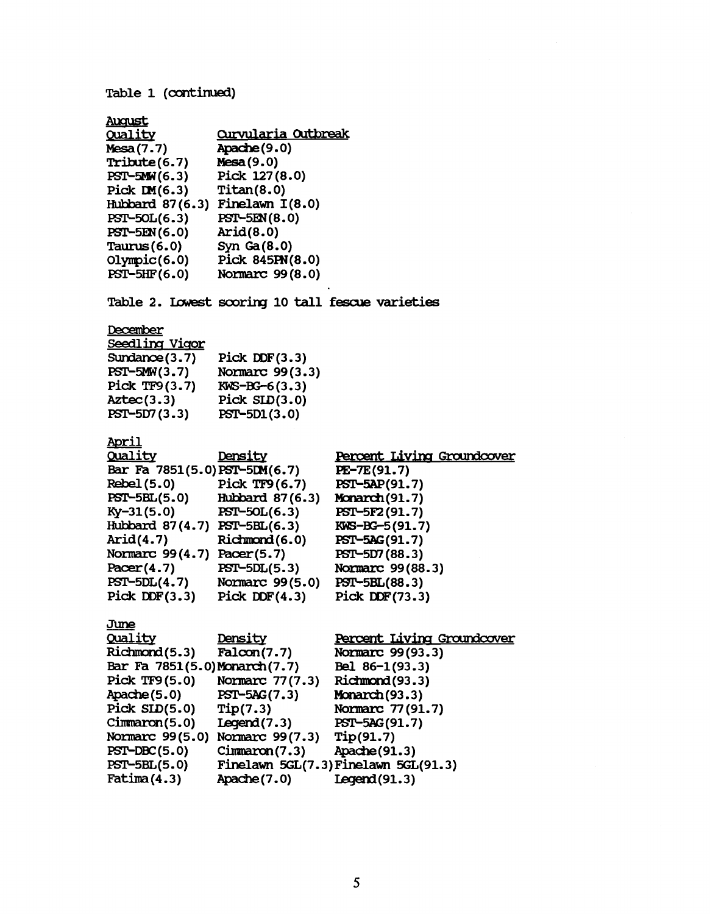Table 1 (continued) August <u>Quality</u> Mesa(7.7) Tribute(6.7)  $PST-SMW(6.3)$ Pick  $DM(6.3)$ Hubbard 87(6. 3) Finelawn I(8.0) PST- 5OL(6.3) PST-5EN (6.0) Taurus(6.0) Olympic (6.0)  $PST-5HF(6.0)$ Curvularia Outbreak Apache (9.0) Mesa(9.0) Pick 127(8.0) Titan(8.0) PST-5EN(8.0) Arid(8.0) Syn Ga(8.0) Pick 845PN(8.0) Normarc 99(8.0) Table 2. Lowest scoring 10 tall fescue varieties December Seedling Vigor Sundance(3.7) PST-5MW(3.7) Pick TF9(3.7) Aztec(3.3) PST-5D7(3.3) Pick DDF(3.3) Normarc 99(3.3)  $KWS - BG - 6(3.3)$ Pick SLD(3.0) PST- 5D1(3.0) April Quality Density Bar Fa 7851(5.0)PST-5DM(6.7) Rebel(5.0) Pick TF9(6.7) PST- 5BL(5.0) Hubbard 87(6.3)  $Ky-31(5.0)$  PST-50L $(6.3)$ Hubbard 87(4.7) PST-5BL(6.3) Arid(4.7) Ridmond(6.0) Normarc 99(4.7) Pacer(5.7)  $Pacer(4.7)$   $PST-5DL(5.3)$ PST- 5DL(4.7) Normarc 99(5.0) Pick DDF(3.3) Pick DDF(4.3) June Quality Density Richmond(5.3) Falcon(7.7) Bar Fa 7851(5.0)Monarch(7.7) Pick TF9(5.0) Normarc 77(7.3) Apache(5.0) PST-5AG(7.3) Pick SLD(5.0) Tip(7.3) Cimnaron(5.0) Legend(7.3) Normarc 99(5.0) Normarc 99(7.3)  $PST-DBC(5.0)$  Cimmaron(7.3) PST- 5BL(5.0) Finelawn 5GL(7. 3)Finelawn 5GL(91.3) Fatima(4.3) Apache(7.0) Percent Living Groundcover PE-7E(91.7) PST-5AP(91.7) Monarch(91.7) PST-5F2 (91.7) EWS -BG- 5(91.7) PST-5AG(91.7) PST-5D7(88.3) Normarc 99(88.3) PST-5BL(88.3) Pick DDF(73.3) Percent Living Groundcover Normarc 99(93.3) Bel 86-1(93.3)  $Ricumond(93.3)$ Monarch(93.3) Normarc 77(91.7) PST-5AG(91.7) Tip(91.7) Apache(91.3) Iegend(91.3)